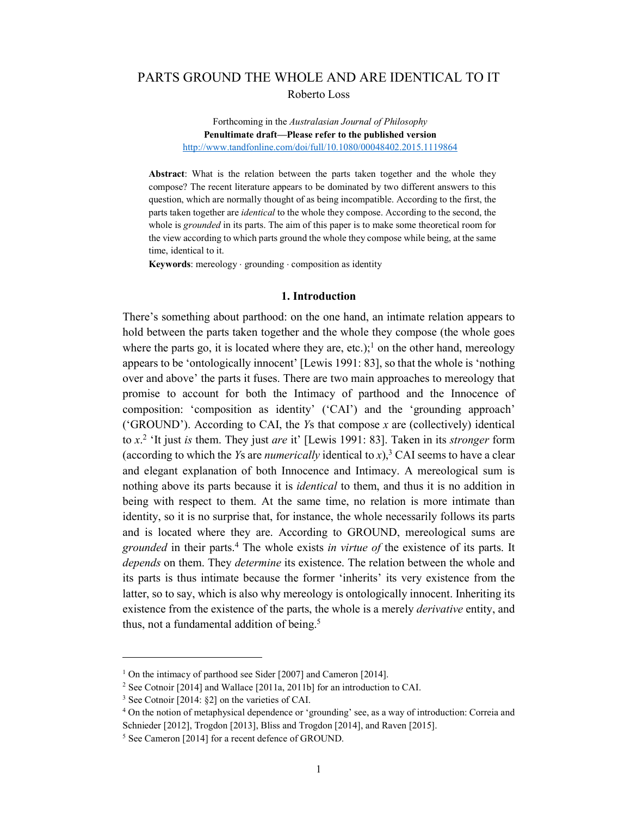# PARTS GROUND THE WHOLE AND ARE IDENTICAL TO IT Roberto Loss

### Forthcoming in the *Australasian Journal of Philosophy* **Penultimate draft—Please refer to the published version** http://www.tandfonline.com/doi/full/10.1080/00048402.2015.1119864

**Abstract**: What is the relation between the parts taken together and the whole they compose? The recent literature appears to be dominated by two different answers to this question, which are normally thought of as being incompatible. According to the first, the parts taken together are *identical* to the whole they compose. According to the second, the whole is *grounded* in its parts. The aim of this paper is to make some theoretical room for the view according to which parts ground the whole they compose while being, at the same time, identical to it.

**Keywords**: mereology  $\cdot$  grounding  $\cdot$  composition as identity

## **1. Introduction**

There's something about parthood: on the one hand, an intimate relation appears to hold between the parts taken together and the whole they compose (the whole goes where the parts go, it is located where they are, etc.);<sup>1</sup> on the other hand, mereology appears to be 'ontologically innocent' [Lewis 1991: 83], so that the whole is 'nothing over and above' the parts it fuses. There are two main approaches to mereology that promise to account for both the Intimacy of parthood and the Innocence of composition: 'composition as identity' ('CAI') and the 'grounding approach' ('GROUND'). According to CAI, the *Y*s that compose *x* are (collectively) identical to *x*. <sup>2</sup> 'It just *is* them. They just *are* it' [Lewis 1991: 83]. Taken in its *stronger* form (according to which the *Ys* are *numerically* identical to  $x$ ),<sup>3</sup> CAI seems to have a clear and elegant explanation of both Innocence and Intimacy. A mereological sum is nothing above its parts because it is *identical* to them, and thus it is no addition in being with respect to them. At the same time, no relation is more intimate than identity, so it is no surprise that, for instance, the whole necessarily follows its parts and is located where they are. According to GROUND, mereological sums are *grounded* in their parts. <sup>4</sup> The whole exists *in virtue of* the existence of its parts. It *depends* on them. They *determine* its existence. The relation between the whole and its parts is thus intimate because the former 'inherits' its very existence from the latter, so to say, which is also why mereology is ontologically innocent. Inheriting its existence from the existence of the parts, the whole is a merely *derivative* entity, and thus, not a fundamental addition of being.<sup>5</sup>

 $\ddot{ }$ 

<sup>&</sup>lt;sup>1</sup> On the intimacy of parthood see Sider [2007] and Cameron [2014].

<sup>&</sup>lt;sup>2</sup> See Cotnoir [2014] and Wallace [2011a, 2011b] for an introduction to CAI.

<sup>3</sup> See Cotnoir [2014: §2] on the varieties of CAI.

<sup>4</sup> On the notion of metaphysical dependence or 'grounding' see, as a way of introduction: Correia and Schnieder [2012], Trogdon [2013], Bliss and Trogdon [2014], and Raven [2015].

<sup>5</sup> See Cameron [2014] for a recent defence of GROUND.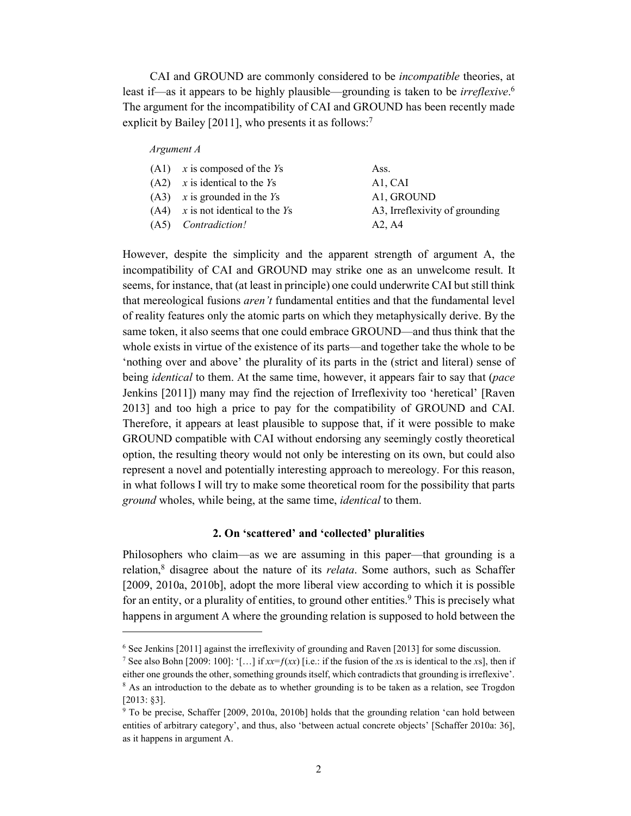CAI and GROUND are commonly considered to be *incompatible* theories, at least if—as it appears to be highly plausible—grounding is taken to be *irreflexive*. 6 The argument for the incompatibility of CAI and GROUND has been recently made explicit by Bailey [2011], who presents it as follows:<sup>7</sup>

#### *Argument A*

 $\overline{a}$ 

| $(A1)$ x is composed of the Ys      | Ass.                             |
|-------------------------------------|----------------------------------|
| $(A2)$ x is identical to the Ys     | A <sub>1</sub> , C <sub>AI</sub> |
| $(A3)$ x is grounded in the Ys      | A1, GROUND                       |
| $(A4)$ x is not identical to the Ys | A3, Irreflexivity of grounding   |
| (A5) <i>Contradiction!</i>          | A2. A4                           |

However, despite the simplicity and the apparent strength of argument A, the incompatibility of CAI and GROUND may strike one as an unwelcome result. It seems, for instance, that (at least in principle) one could underwrite CAI but still think that mereological fusions *aren't* fundamental entities and that the fundamental level of reality features only the atomic parts on which they metaphysically derive. By the same token, it also seems that one could embrace GROUND—and thus think that the whole exists in virtue of the existence of its parts—and together take the whole to be 'nothing over and above' the plurality of its parts in the (strict and literal) sense of being *identical* to them. At the same time, however, it appears fair to say that (*pace*  Jenkins [2011]) many may find the rejection of Irreflexivity too 'heretical' [Raven 2013] and too high a price to pay for the compatibility of GROUND and CAI. Therefore, it appears at least plausible to suppose that, if it were possible to make GROUND compatible with CAI without endorsing any seemingly costly theoretical option, the resulting theory would not only be interesting on its own, but could also represent a novel and potentially interesting approach to mereology. For this reason, in what follows I will try to make some theoretical room for the possibility that parts *ground* wholes, while being, at the same time, *identical* to them.

## **2. On 'scattered' and 'collected' pluralities**

Philosophers who claim—as we are assuming in this paper—that grounding is a relation, <sup>8</sup> disagree about the nature of its *relata*. Some authors, such as Schaffer [2009, 2010a, 2010b], adopt the more liberal view according to which it is possible for an entity, or a plurality of entities, to ground other entities. <sup>9</sup> This is precisely what happens in argument A where the grounding relation is supposed to hold between the

<sup>6</sup> See Jenkins [2011] against the irreflexivity of grounding and Raven [2013] for some discussion.

<sup>7</sup> See also Bohn [2009: 100]: '[...] if  $xx = f(xx)$  [i.e.: if the fusion of the *x*s is identical to the *x*s], then if either one grounds the other, something grounds itself, which contradicts that grounding is irreflexive'.<br><sup>8</sup> As an introduction to the debate as to whether grounding is to be taken as a relation, see Trogdon [2013: §3].

<sup>9</sup> To be precise, Schaffer [2009, 2010a, 2010b] holds that the grounding relation 'can hold between entities of arbitrary category', and thus, also 'between actual concrete objects' [Schaffer 2010a: 36], as it happens in argument A.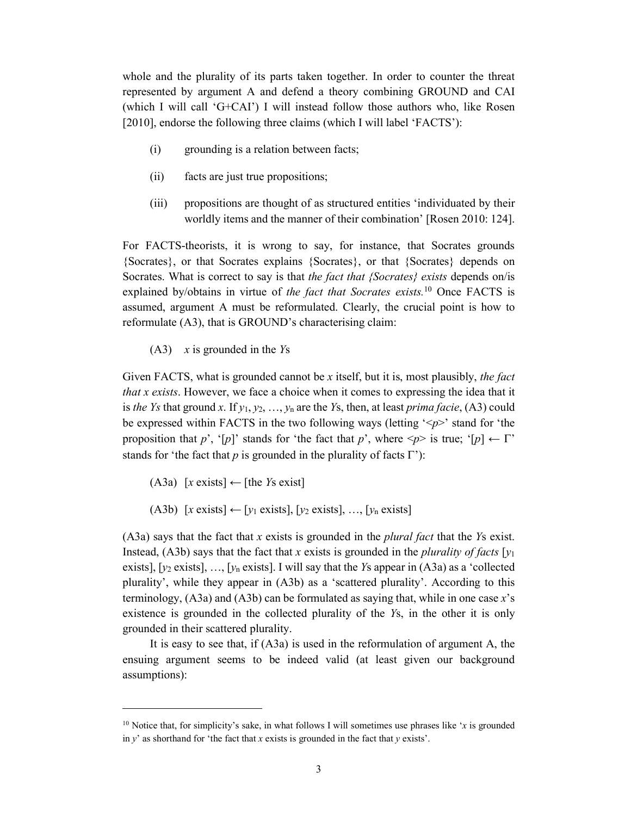whole and the plurality of its parts taken together. In order to counter the threat represented by argument A and defend a theory combining GROUND and CAI (which I will call 'G+CAI') I will instead follow those authors who, like Rosen [2010], endorse the following three claims (which I will label 'FACTS'):

- (i) grounding is a relation between facts;
- (ii) facts are just true propositions;
- (iii) propositions are thought of as structured entities 'individuated by their worldly items and the manner of their combination' [Rosen 2010: 124].

For FACTS-theorists, it is wrong to say, for instance, that Socrates grounds {Socrates}, or that Socrates explains {Socrates}, or that {Socrates} depends on Socrates. What is correct to say is that *the fact that {Socrates} exists* depends on/is explained by/obtains in virtue of *the fact that Socrates exists.*<sup>10</sup> Once FACTS is assumed, argument A must be reformulated. Clearly, the crucial point is how to reformulate (A3), that is GROUND's characterising claim:

(A3) *x* is grounded in the *Y*s

Given FACTS, what is grounded cannot be *x* itself, but it is, most plausibly, *the fact that x exists*. However, we face a choice when it comes to expressing the idea that it is *the Ys* that ground *x*. If *y*1, *y*2, …, *y*<sup>n</sup> are the *Y*s, then, at least *prima facie*, (A3) could be expressed within FACTS in the two following ways (letting '<*p*>' stand for 'the proposition that *p*', '[*p*]' stands for 'the fact that *p*', where  $\langle p \rangle$  is true; '[*p*]  $\leftarrow \Gamma$ ' stands for 'the fact that *p* is grounded in the plurality of facts  $\Gamma$ '):

(A3a) [*x* exists] ← [the *Y*s exist]

 $\ddot{ }$ 

(A3b) [*x* exists] ← [*y*<sup>1</sup> exists], [*y*<sup>2</sup> exists], …, [*y*<sup>n</sup> exists]

(A3a) says that the fact that *x* exists is grounded in the *plural fact* that the *Y*s exist. Instead, (A3b) says that the fact that *x* exists is grounded in the *plurality of facts* [ $y_1$ ] exists],  $[y_2 \text{ exists}]$ , ...,  $[y_n \text{ exists}]$ . I will say that the *Y*s appear in (A3a) as a 'collected plurality', while they appear in (A3b) as a 'scattered plurality'. According to this terminology, (A3a) and (A3b) can be formulated as saying that, while in one case *x*'s existence is grounded in the collected plurality of the *Y*s, in the other it is only grounded in their scattered plurality.

It is easy to see that, if (A3a) is used in the reformulation of argument A, the ensuing argument seems to be indeed valid (at least given our background assumptions):

<sup>&</sup>lt;sup>10</sup> Notice that, for simplicity's sake, in what follows I will sometimes use phrases like '*x* is grounded in *y*' as shorthand for 'the fact that *x* exists is grounded in the fact that *y* exists'.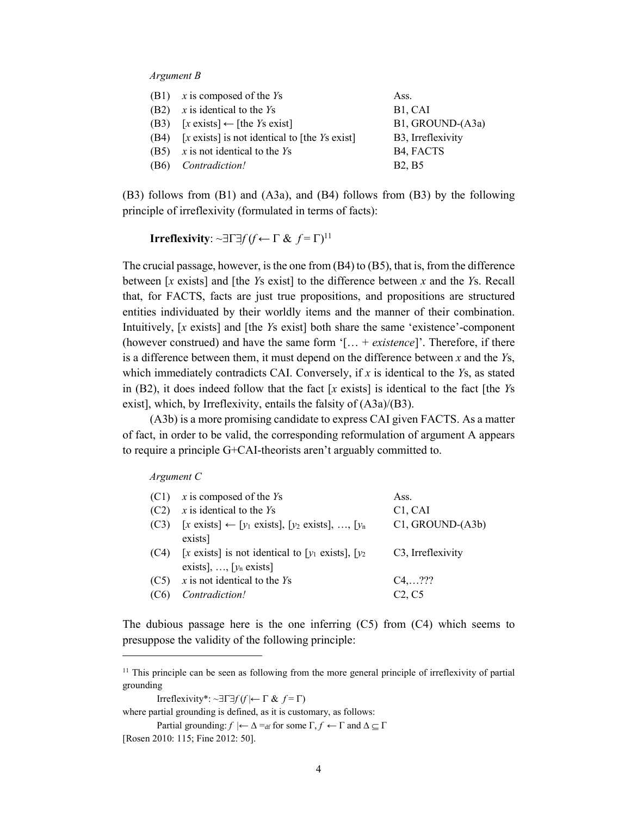#### *Argument B*

|                   | $(B1)$ x is composed of the Ys                                 | Ass.                           |
|-------------------|----------------------------------------------------------------|--------------------------------|
| (B2)              | $x$ is identical to the $Y_s$                                  | B <sub>1</sub> , CAI           |
| (B3)              | $[x \text{ exists}] \leftarrow [\text{the } Y \text{s exist}]$ | B1, GROUND-(A3a)               |
|                   | $(B4)$ [x exists] is not identical to [the <i>Ys</i> exist]    | B <sub>3</sub> , Irreflexivity |
|                   | (B5) $x$ is not identical to the $Y_s$                         | B <sub>4</sub> , FACTS         |
| (B <sub>6</sub> ) | Contradiction!                                                 | <b>B2, B5</b>                  |

(B3) follows from (B1) and (A3a), and (B4) follows from (B3) by the following principle of irreflexivity (formulated in terms of facts):

**Irreflexivity**:  $\sim \exists \Gamma \exists f (f \leftarrow \Gamma \& f^{\dagger} \Gamma)$ 

The crucial passage, however, is the one from (B4) to (B5), that is, from the difference between [*x* exists] and [the *Y*s exist] to the difference between *x* and the *Y*s. Recall that, for FACTS, facts are just true propositions, and propositions are structured entities individuated by their worldly items and the manner of their combination. Intuitively, [*x* exists] and [the *Y*s exist] both share the same 'existence'-component (however construed) and have the same form '[… + *existence*]'. Therefore, if there is a difference between them, it must depend on the difference between *x* and the *Y*s, which immediately contradicts CAI. Conversely, if *x* is identical to the *Y*s, as stated in (B2), it does indeed follow that the fact [*x* exists] is identical to the fact [the *Y*s exist], which, by Irreflexivity, entails the falsity of (A3a)/(B3).

(A3b) is a more promising candidate to express CAI given FACTS. As a matter of fact, in order to be valid, the corresponding reformulation of argument A appears to require a principle G+CAI-theorists aren't arguably committed to.

#### *Argument C*

 $\overline{a}$ 

| (C1) | $x$ is composed of the $Y_s$                                                                   | Ass.                             |
|------|------------------------------------------------------------------------------------------------|----------------------------------|
| (C2) | $x$ is identical to the $Y_s$                                                                  | C <sub>1</sub> , C <sub>AI</sub> |
| (C3) | $[x \text{ exists}] \leftarrow [y_1 \text{ exists}], [y_2 \text{ exists}], , [y_n]$<br>exists] | C1, GROUND-(A3b)                 |
| (C4) | [x exists] is not identical to [ $y_1$ exists], [ $y_2$ ]<br>exists], , [ $y_n$ exists]        | C <sub>3</sub> , Irreflexivity   |
| (C5) | $x$ is not identical to the $Y_s$                                                              | $C4, \ldots$ ???                 |
| (C6) | Contradiction!                                                                                 | C2, C5                           |

The dubious passage here is the one inferring  $(C5)$  from  $(C4)$  which seems to presuppose the validity of the following principle:

Irreflexivity\*:  $\sim \exists \Gamma \exists f(f \mid \leftarrow \Gamma \& f = \Gamma)$ 

where partial grounding is defined, as it is customary, as follows:

Partial grounding:  $f \nvert \leftarrow \Delta =_{df}$  for some  $\Gamma, f \leftarrow \Gamma$  and  $\Delta \subseteq \Gamma$ [Rosen 2010: 115; Fine 2012: 50].

<sup>&</sup>lt;sup>11</sup> This principle can be seen as following from the more general principle of irreflexivity of partial grounding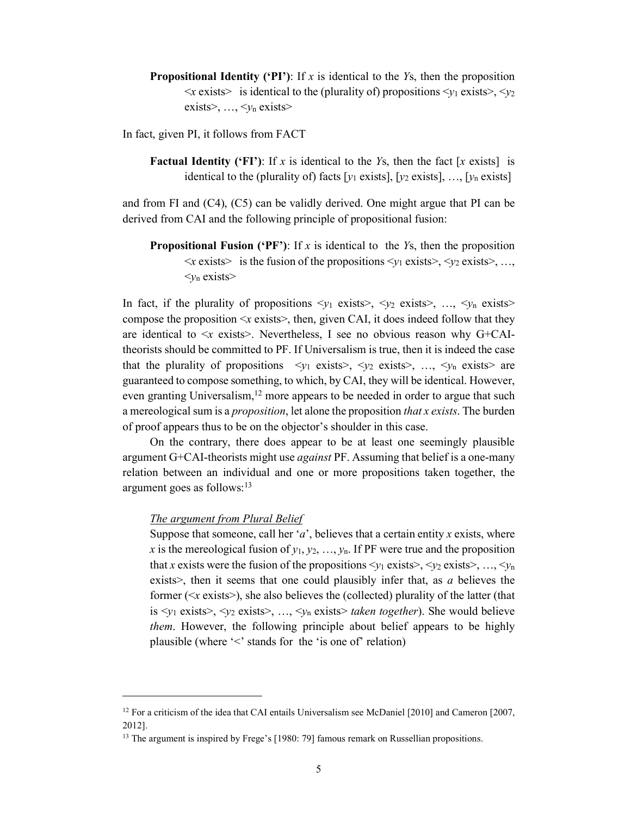**Propositional Identity ('PI')**: If *x* is identical to the *Y*s, then the proposition  $\langle x \rangle$  exists is identical to the (plurality of) propositions  $\langle y_1 \rangle$  exists  $\langle y_2 \rangle$ exists>, …, <*y*<sup>n</sup> exists>

In fact, given PI, it follows from FACT

**Factual Identity ('FI')**: If *x* is identical to the *Y*s, then the fact [*x* exists] is identical to the (plurality of) facts  $[v_1]$  exists],  $[v_2]$  exists], ...,  $[v_n]$  exists]

and from FI and (C4), (C5) can be validly derived. One might argue that PI can be derived from CAI and the following principle of propositional fusion:

**Propositional Fusion ('PF')**: If *x* is identical to the *Y*s, then the proposition  $\langle x \text{ exists} \rangle$  is the fusion of the propositions  $\langle y_1 \text{ exists} \rangle$ ,  $\langle y_2 \text{ exists} \rangle$ , ...  $\langle v_n \text{ exists} \rangle$ 

In fact, if the plurality of propositions  $\langle v_1 \rangle$  exists  $\langle v_2 \rangle$  exists  $\langle v_1 \rangle$  exists  $\langle v_2 \rangle$ compose the proposition  $\langle x \rangle$  exists  $\langle x \rangle$ , then, given CAI, it does indeed follow that they are identical to  $\leq x$  exists >. Nevertheless, I see no obvious reason why G+CAItheorists should be committed to PF. If Universalism is true, then it is indeed the case that the plurality of propositions  $\langle y_1 \rangle$  exists  $\langle y_2 \rangle$  exists  $\langle y_1 \rangle$  exists are guaranteed to compose something, to which, by CAI, they will be identical. However, even granting Universalism,<sup>12</sup> more appears to be needed in order to argue that such a mereological sum is a *proposition*, let alone the proposition *that x exists*. The burden of proof appears thus to be on the objector's shoulder in this case.

On the contrary, there does appear to be at least one seemingly plausible argument G+CAI-theorists might use *against* PF. Assuming that belief is a one-many relation between an individual and one or more propositions taken together, the argument goes as follows:13

## *The argument from Plural Belief*

 $\ddot{ }$ 

Suppose that someone, call her '*a*', believes that a certain entity *x* exists, where *x* is the mereological fusion of  $y_1, y_2, \ldots, y_n$ . If PF were true and the proposition that *x* exists were the fusion of the propositions  $\langle y_1 \rangle$  exists  $\langle y_2 \rangle$  exists  $\langle \ldots, \langle y_n \rangle$ exists>, then it seems that one could plausibly infer that, as *a* believes the former ( $\leq x$  exists $\geq$ ), she also believes the (collected) plurality of the latter (that is <*y*<sup>1</sup> exists>, <*y*<sup>2</sup> exists>, …, <*y*<sup>n</sup> exists> *taken together*). She would believe *them*. However, the following principle about belief appears to be highly plausible (where '<' stands for the 'is one of' relation)

 $12$  For a criticism of the idea that CAI entails Universalism see McDaniel [2010] and Cameron [2007, 2012].

<sup>&</sup>lt;sup>13</sup> The argument is inspired by Frege's [1980: 79] famous remark on Russellian propositions.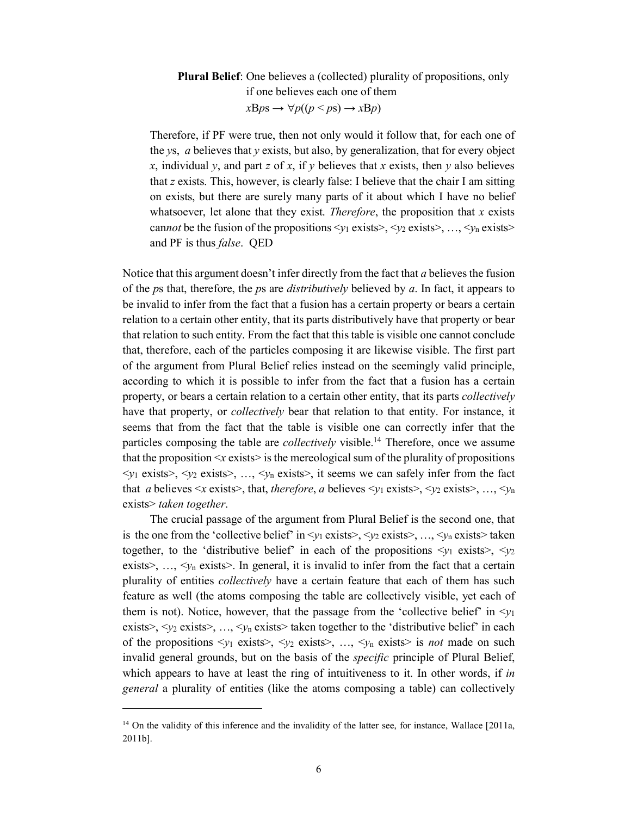# **Plural Belief**: One believes a (collected) plurality of propositions, only if one believes each one of them  $xBps \rightarrow \forall p((p < ps) \rightarrow xBp)$

Therefore, if PF were true, then not only would it follow that, for each one of the *y*s, *a* believes that *y* exists, but also, by generalization, that for every object *x*, individual *y*, and part *z* of *x*, if *y* believes that *x* exists, then *y* also believes that *z* exists. This, however, is clearly false: I believe that the chair I am sitting on exists, but there are surely many parts of it about which I have no belief whatsoever, let alone that they exist. *Therefore*, the proposition that *x* exists cannot be the fusion of the propositions  $\langle y_1 \text{ exists} \rangle$ ,  $\langle y_2 \text{ exists} \rangle$ , ...,  $\langle y_n \text{ exists} \rangle$ and PF is thus *false*. QED

Notice that this argument doesn't infer directly from the fact that *a* believes the fusion of the *p*s that, therefore, the *p*s are *distributively* believed by *a*. In fact, it appears to be invalid to infer from the fact that a fusion has a certain property or bears a certain relation to a certain other entity, that its parts distributively have that property or bear that relation to such entity. From the fact that this table is visible one cannot conclude that, therefore, each of the particles composing it are likewise visible. The first part of the argument from Plural Belief relies instead on the seemingly valid principle, according to which it is possible to infer from the fact that a fusion has a certain property, or bears a certain relation to a certain other entity, that its parts *collectively* have that property, or *collectively* bear that relation to that entity. For instance, it seems that from the fact that the table is visible one can correctly infer that the particles composing the table are *collectively* visible.<sup>14</sup> Therefore, once we assume that the proposition  $\langle x \rangle$  exists  $>$  is the mereological sum of the plurality of propositions  $\langle y_1 \rangle$  exists>,  $\langle y_2 \rangle$  exists>, ...,  $\langle y_n \rangle$  exists>, it seems we can safely infer from the fact that *a* believes  $\leq x$  exists>, that, *therefore*, *a* believes  $\leq y_1$  exists>,  $\leq y_2$  exists>, ...,  $\leq y_n$ exists> *taken together*.

The crucial passage of the argument from Plural Belief is the second one, that is the one from the 'collective belief' in  $\langle v_1 \rangle$  exists  $\langle v_2 \rangle$  exists  $\langle v_1 \rangle$ ,  $\langle v_2 \rangle$  exists  $\langle v_1 \rangle$  exists  $\langle v_2 \rangle$ together, to the 'distributive belief' in each of the propositions  $\langle v_1 \rangle$  exists  $\langle v_2 \rangle$ exists $>$ , ...,  $\langle v_n \rangle$  exists $>$ . In general, it is invalid to infer from the fact that a certain plurality of entities *collectively* have a certain feature that each of them has such feature as well (the atoms composing the table are collectively visible, yet each of them is not). Notice, however, that the passage from the 'collective belief' in  $\langle y_1 \rangle$ exists>,  $\langle \gamma_2 \rangle$  exists>, ...,  $\langle \gamma_n \rangle$  exists> taken together to the 'distributive belief' in each of the propositions  $\langle y_1 \rangle$  exists>,  $\langle y_2 \rangle$  exists>, ...,  $\langle y_n \rangle$  exists> is *not* made on such invalid general grounds, but on the basis of the *specific* principle of Plural Belief, which appears to have at least the ring of intuitiveness to it. In other words, if *in general* a plurality of entities (like the atoms composing a table) can collectively

 $\ddot{ }$ 

<sup>&</sup>lt;sup>14</sup> On the validity of this inference and the invalidity of the latter see, for instance, Wallace [2011a, 2011b].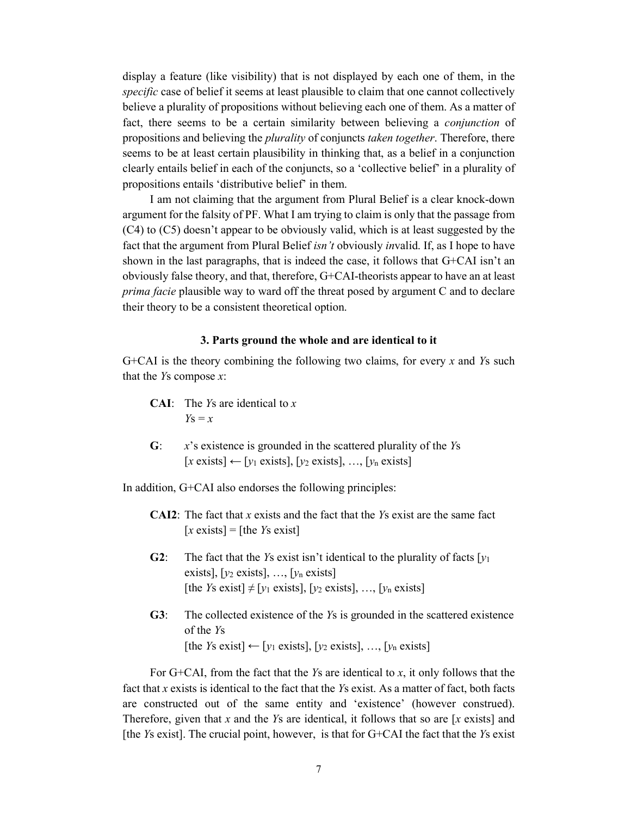display a feature (like visibility) that is not displayed by each one of them, in the *specific* case of belief it seems at least plausible to claim that one cannot collectively believe a plurality of propositions without believing each one of them. As a matter of fact, there seems to be a certain similarity between believing a *conjunction* of propositions and believing the *plurality* of conjuncts *taken together*. Therefore, there seems to be at least certain plausibility in thinking that, as a belief in a conjunction clearly entails belief in each of the conjuncts, so a 'collective belief' in a plurality of propositions entails 'distributive belief' in them.

I am not claiming that the argument from Plural Belief is a clear knock-down argument for the falsity of PF. What I am trying to claim is only that the passage from (C4) to (C5) doesn't appear to be obviously valid, which is at least suggested by the fact that the argument from Plural Belief *isn't* obviously *in*valid. If, as I hope to have shown in the last paragraphs, that is indeed the case, it follows that G+CAI isn't an obviously false theory, and that, therefore, G+CAI-theorists appear to have an at least *prima facie* plausible way to ward off the threat posed by argument C and to declare their theory to be a consistent theoretical option.

### **3. Parts ground the whole and are identical to it**

G+CAI is the theory combining the following two claims, for every *x* and *Y*s such that the *Y*s compose *x*:

- **CAI**: The *Y*s are identical to *x*  $Y_S = x$
- **G**: *x*'s existence is grounded in the scattered plurality of the *Y*s  $[x \text{ exists}] \leftarrow [y_1 \text{ exists}], [y_2 \text{ exists}], ..., [y_n \text{ exists}]$

In addition, G+CAI also endorses the following principles:

- **CAI2**: The fact that *x* exists and the fact that the *Y*s exist are the same fact  $[x \text{ exists}] = [\text{the } Y \text{ is exist}]$
- **G2**: The fact that the *Y*s exist isn't identical to the plurality of facts  $[y_1]$ exists], [*y*<sup>2</sup> exists], …, [*y*<sup>n</sup> exists] [the *Ys* exist]  $\neq$  [*y*<sub>1</sub> exists], [*y*<sub>2</sub> exists], ..., [*y*<sub>n</sub> exists]
- **G3**: The collected existence of the *Y*s is grounded in the scattered existence of the *Y*s [the *Ys* exist]  $\leftarrow$  [*y*<sub>1</sub> exists], [*y*<sub>2</sub> exists], ..., [*y*<sub>n</sub> exists]

For G+CAI, from the fact that the *Y*s are identical to *x*, it only follows that the fact that *x* exists is identical to the fact that the *Y*s exist. As a matter of fact, both facts are constructed out of the same entity and 'existence' (however construed). Therefore, given that *x* and the *Y*s are identical, it follows that so are [*x* exists] and [the *Y*s exist]. The crucial point, however, is that for G+CAI the fact that the *Y*s exist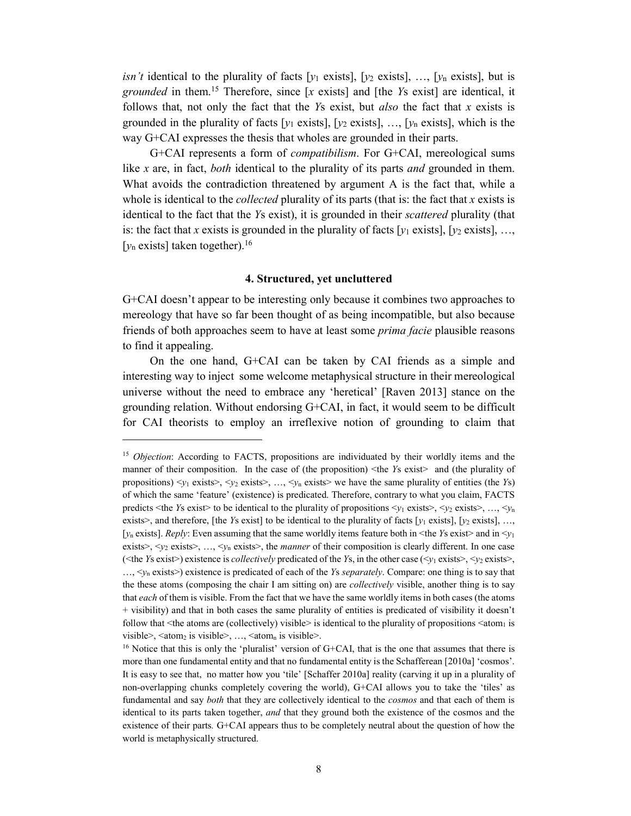*isn't* identical to the plurality of facts  $[y_1 \text{ exists}]$ ,  $[y_2 \text{ exists}]$ , ...,  $[y_n \text{ exists}]$ , but is *grounded* in them. <sup>15</sup> Therefore, since [*x* exists] and [the *Y*s exist] are identical, it follows that, not only the fact that the *Y*s exist, but *also* the fact that *x* exists is grounded in the plurality of facts [ $y_1$  exists], [ $y_2$  exists], …, [ $y_n$  exists], which is the way G+CAI expresses the thesis that wholes are grounded in their parts.

G+CAI represents a form of *compatibilism*. For G+CAI, mereological sums like *x* are, in fact, *both* identical to the plurality of its parts *and* grounded in them. What avoids the contradiction threatened by argument A is the fact that, while a whole is identical to the *collected* plurality of its parts (that is: the fact that *x* exists is identical to the fact that the *Y*s exist), it is grounded in their *scattered* plurality (that is: the fact that *x* exists is grounded in the plurality of facts  $[y_1$  exists],  $[y_2$  exists], ..., [ $y_n$  exists] taken together).<sup>16</sup>

## **4. Structured, yet uncluttered**

G+CAI doesn't appear to be interesting only because it combines two approaches to mereology that have so far been thought of as being incompatible, but also because friends of both approaches seem to have at least some *prima facie* plausible reasons to find it appealing.

On the one hand, G+CAI can be taken by CAI friends as a simple and interesting way to inject some welcome metaphysical structure in their mereological universe without the need to embrace any 'heretical' [Raven 2013] stance on the grounding relation. Without endorsing G+CAI, in fact, it would seem to be difficult for CAI theorists to employ an irreflexive notion of grounding to claim that

 $\ddot{ }$ 

<sup>&</sup>lt;sup>15</sup> *Objection*: According to FACTS, propositions are individuated by their worldly items and the manner of their composition. In the case of (the proposition) <the *Ys* exist> and (the plurality of propositions)  $\langle y_1 \text{ exists} \rangle$ ,  $\langle y_2 \text{ exists} \rangle$ , ...,  $\langle y_n \text{ exists} \rangle$  we have the same plurality of entities (the *Ys*) of which the same 'feature' (existence) is predicated. Therefore, contrary to what you claim, FACTS predicts <the *Y*s exist> to be identical to the plurality of propositions  $\langle y_1 \rangle$  exists>,  $\langle y_2 \rangle$  exists>, ...,  $\langle y_n \rangle$ exists>, and therefore, [the *Ys* exist] to be identical to the plurality of facts [ $y_1$  exists], [ $y_2$  exists], ..., [ $y_n$  exists]. *Reply*: Even assuming that the same worldly items feature both in  $\leq$ the *Ys* exist $\geq$  and in  $\leq$ y<sub>1</sub> exists $>$ ,  $\lt_{v_2}$  exists $>$ , ...,  $\lt_{v_n}$  exists $>$ , the *manner* of their composition is clearly different. In one case ( $\leq$ the *Y*s exist $\geq$ ) existence is *collectively* predicated of the *Y*s, in the other case ( $\leq$ *y*<sub>1</sub> exists $\geq$ ,  $\leq$ *y*<sub>2</sub> exists $\geq$ , …, <*y*<sup>n</sup> exists>) existence is predicated of each of the *Y*s *separately*. Compare: one thing is to say that the these atoms (composing the chair I am sitting on) are *collectively* visible, another thing is to say that *each* of them is visible. From the fact that we have the same worldly items in both cases (the atoms + visibility) and that in both cases the same plurality of entities is predicated of visibility it doesn't follow that  $\leq$  the atoms are (collectively) visible is identical to the plurality of propositions  $\leq$  atom<sub>1</sub> is visible>,  $\langle \text{atom}_2 \rangle$  is visible>, ...,  $\langle \text{atom}_n \rangle$  is visible>.

<sup>&</sup>lt;sup>16</sup> Notice that this is only the 'pluralist' version of  $G+CAI$ , that is the one that assumes that there is more than one fundamental entity and that no fundamental entity is the Schafferean [2010a] 'cosmos'. It is easy to see that, no matter how you 'tile' [Schaffer 2010a] reality (carving it up in a plurality of non-overlapping chunks completely covering the world), G+CAI allows you to take the 'tiles' as fundamental and say *both* that they are collectively identical to the *cosmos* and that each of them is identical to its parts taken together, *and* that they ground both the existence of the cosmos and the existence of their parts*.* G+CAI appears thus to be completely neutral about the question of how the world is metaphysically structured.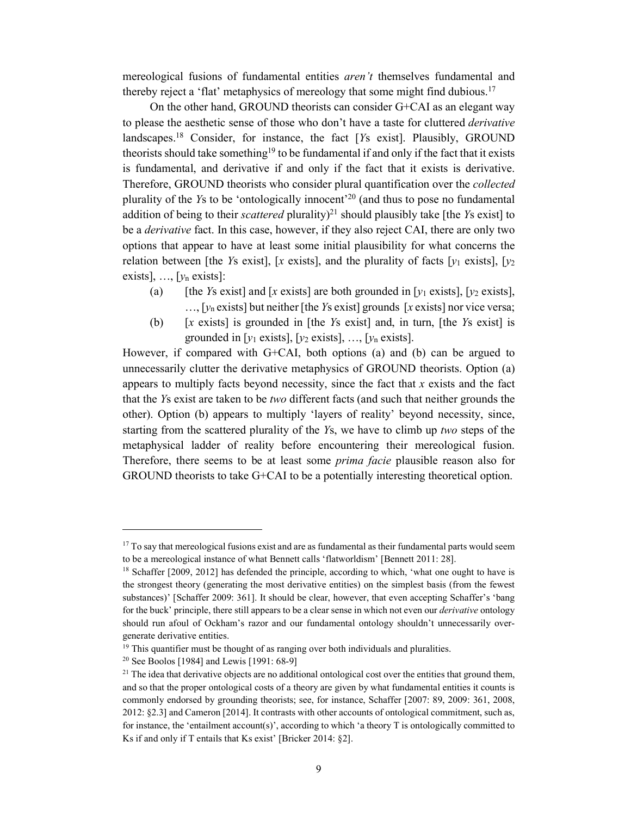mereological fusions of fundamental entities *aren't* themselves fundamental and thereby reject a 'flat' metaphysics of mereology that some might find dubious. 17

On the other hand, GROUND theorists can consider G+CAI as an elegant way to please the aesthetic sense of those who don't have a taste for cluttered *derivative* landscapes.18 Consider, for instance, the fact [*Y*s exist]. Plausibly, GROUND theorists should take something<sup>19</sup> to be fundamental if and only if the fact that it exists is fundamental, and derivative if and only if the fact that it exists is derivative. Therefore, GROUND theorists who consider plural quantification over the *collected* plurality of the *Y*s to be 'ontologically innocent' <sup>20</sup> (and thus to pose no fundamental addition of being to their *scattered* plurality)<sup>21</sup> should plausibly take [the *Ys* exist] to be a *derivative* fact. In this case, however, if they also reject CAI, there are only two options that appear to have at least some initial plausibility for what concerns the relation between [the *Ys* exist], [*x* exists], and the plurality of facts [ $y_1$  exists], [ $y_2$ exists],  $\ldots$ , [ $y_n$  exists]:

- (a) [the *Ys* exist] and [*x* exists] are both grounded in [ $y_1$  exists], [ $y_2$  exists],  $...,$  [ $v_n$  exists] but neither [the *Ys* exist] grounds [*x* exists] nor vice versa;
- (b) [*x* exists] is grounded in [the *Y*s exist] and, in turn, [the *Y*s exist] is grounded in [*y*<sup>1</sup> exists], [*y*<sup>2</sup> exists], …, [*y*<sup>n</sup> exists].

However, if compared with G+CAI, both options (a) and (b) can be argued to unnecessarily clutter the derivative metaphysics of GROUND theorists. Option (a) appears to multiply facts beyond necessity, since the fact that *x* exists and the fact that the *Y*s exist are taken to be *two* different facts (and such that neither grounds the other). Option (b) appears to multiply 'layers of reality' beyond necessity, since, starting from the scattered plurality of the *Y*s, we have to climb up *two* steps of the metaphysical ladder of reality before encountering their mereological fusion. Therefore, there seems to be at least some *prima facie* plausible reason also for GROUND theorists to take G+CAI to be a potentially interesting theoretical option.

<sup>20</sup> See Boolos [1984] and Lewis [1991: 68-9]

 $\overline{a}$ 

<sup>&</sup>lt;sup>17</sup> To say that mereological fusions exist and are as fundamental as their fundamental parts would seem to be a mereological instance of what Bennett calls 'flatworldism' [Bennett 2011: 28].

<sup>&</sup>lt;sup>18</sup> Schaffer [2009, 2012] has defended the principle, according to which, 'what one ought to have is the strongest theory (generating the most derivative entities) on the simplest basis (from the fewest substances)' [Schaffer 2009: 361]. It should be clear, however, that even accepting Schaffer's 'bang for the buck' principle, there still appears to be a clear sense in which not even our *derivative* ontology should run afoul of Ockham's razor and our fundamental ontology shouldn't unnecessarily overgenerate derivative entities.

<sup>&</sup>lt;sup>19</sup> This quantifier must be thought of as ranging over both individuals and pluralities.

<sup>&</sup>lt;sup>21</sup> The idea that derivative objects are no additional ontological cost over the entities that ground them, and so that the proper ontological costs of a theory are given by what fundamental entities it counts is commonly endorsed by grounding theorists; see, for instance, Schaffer [2007: 89, 2009: 361, 2008, 2012: §2.3] and Cameron [2014]. It contrasts with other accounts of ontological commitment, such as, for instance, the 'entailment account(s)', according to which 'a theory T is ontologically committed to Ks if and only if T entails that Ks exist' [Bricker 2014: §2].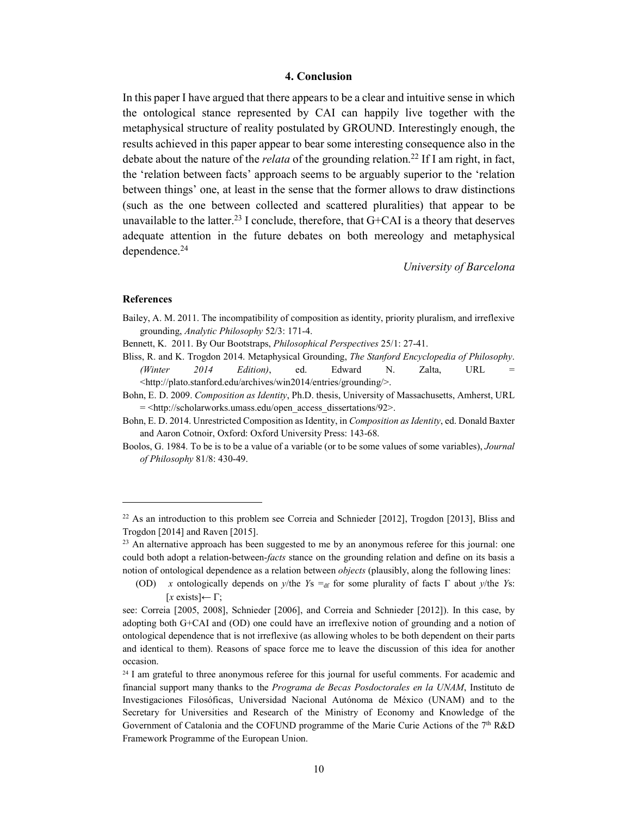### **4. Conclusion**

In this paper I have argued that there appears to be a clear and intuitive sense in which the ontological stance represented by CAI can happily live together with the metaphysical structure of reality postulated by GROUND. Interestingly enough, the results achieved in this paper appear to bear some interesting consequence also in the debate about the nature of the *relata* of the grounding relation.<sup>22</sup> If I am right, in fact, the 'relation between facts' approach seems to be arguably superior to the 'relation between things' one, at least in the sense that the former allows to draw distinctions (such as the one between collected and scattered pluralities) that appear to be unavailable to the latter.<sup>23</sup> I conclude, therefore, that  $G + CAI$  is a theory that deserves adequate attention in the future debates on both mereology and metaphysical dependence.24

*University of Barcelona*

#### **References**

-

Bailey, A. M. 2011. The incompatibility of composition as identity, priority pluralism, and irreflexive grounding, *Analytic Philosophy* 52/3: 171-4.

- Bliss, R. and K. Trogdon 2014. Metaphysical Grounding, *The Stanford Encyclopedia of Philosophy*. *(Winter 2014 Edition)*, ed. Edward N. Zalta, URL = <http://plato.stanford.edu/archives/win2014/entries/grounding/>.
- Bohn, E. D. 2009. *Composition as Identity*, Ph.D. thesis, University of Massachusetts, Amherst, URL = <http://scholarworks.umass.edu/open\_access\_dissertations/92>.
- Bohn, E. D. 2014. Unrestricted Composition as Identity, in *Composition as Identity*, ed. Donald Baxter and Aaron Cotnoir, Oxford: Oxford University Press: 143-68.
- Boolos, G. 1984. To be is to be a value of a variable (or to be some values of some variables), *Journal of Philosophy* 81/8: 430-49.

Bennett, K. 2011. By Our Bootstraps, *Philosophical Perspectives* 25/1: 27-41.

<sup>&</sup>lt;sup>22</sup> As an introduction to this problem see Correia and Schnieder [2012], Trogdon [2013], Bliss and Trogdon [2014] and Raven [2015].

<sup>&</sup>lt;sup>23</sup> An alternative approach has been suggested to me by an anonymous referee for this journal: one could both adopt a relation-between-*facts* stance on the grounding relation and define on its basis a notion of ontological dependence as a relation between *objects* (plausibly, along the following lines:

<sup>(</sup>OD) *x* ontologically depends on *y*/the *Y*s =  $_{df}$  for some plurality of facts  $\Gamma$  about *y*/the *Ys*:  $[x \text{ exists}] \leftarrow \Gamma;$ 

see: Correia [2005, 2008], Schnieder [2006], and Correia and Schnieder [2012]). In this case, by adopting both G+CAI and (OD) one could have an irreflexive notion of grounding and a notion of ontological dependence that is not irreflexive (as allowing wholes to be both dependent on their parts and identical to them). Reasons of space force me to leave the discussion of this idea for another occasion.

<sup>&</sup>lt;sup>24</sup> I am grateful to three anonymous referee for this journal for useful comments. For academic and financial support many thanks to the *Programa de Becas Posdoctorales en la UNAM*, Instituto de Investigaciones Filosóficas, Universidad Nacional Autónoma de México (UNAM) and to the Secretary for Universities and Research of the Ministry of Economy and Knowledge of the Government of Catalonia and the COFUND programme of the Marie Curie Actions of the 7<sup>th</sup> R&D Framework Programme of the European Union.